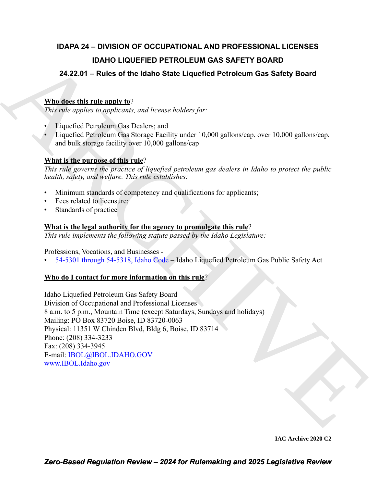## **IDAPA 24 – DIVISION OF OCCUPATIONAL AND PROFESSIONAL LICENSES IDAHO LIQUEFIED PETROLEUM GAS SAFETY BOARD**

## **24.22.01 – Rules of the Idaho State Liquefied Petroleum Gas Safety Board**

## **Who does this rule apply to**?

*This rule applies to applicants, and license holders for:*

- Liquefied Petroleum Gas Dealers; and
- Liquefied Petroleum Gas Storage Facility under 10,000 gallons/cap, over 10,000 gallons/cap, and bulk storage facility over 10,000 gallons/cap

### **What is the purpose of this rule**?

*This rule governs the practice of liquefied petroleum gas dealers in Idaho to protect the public health, safety, and welfare. This rule establishes:*

- Minimum standards of competency and qualifications for applicants;
- Fees related to licensure;
- Standards of practice

### **What is the legal authority for the agency to promulgate this rule**?

*This rule implements the following statute passed by the Idaho Legislature:*

Professions, Vocations, and Businesses -

• 54-5301 through 54-5318, Idaho Code – Idaho Liquefied Petroleum Gas Public Safety Act

#### **Who do I contact for more information on this rule**?

**DA[H](https://legislature.idaho.gov/statutesrules/idstat/Title54/T54CH53/)O LIQUEFIED PETROLEUM GAS SAFETY BOARD**<br> **24.22.01 – Ruiss of the Idaho State Liquefied Petroleum Gas Safety Board**<br> **What describe this relaxion of the Idaho State Liquefied Petroleum Gas Safety Board**<br> **Positive des** Idaho Liquefied Petroleum Gas Safety Board Division of Occupational and Professional Licenses 8 a.m. to 5 p.m., Mountain Time (except Saturdays, Sundays and holidays) Mailing: PO Box 83720 Boise, ID 83720-0063 Physical: 11351 W Chinden Blvd, Bldg 6, Boise, ID 83714 Phone: (208) 334-3233 Fax: (208) 334-3945 E-mail: IBOL@IBOL.IDAHO.GOV www.IBOL.Idaho.gov

**IAC Archive 2020 C2**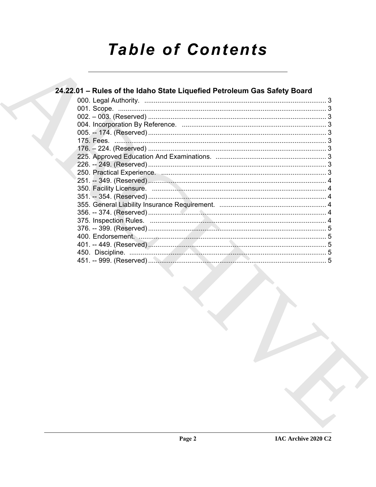# **Table of Contents**

#### 24.22.01 - Rules of the Idaho State Liquefied Petroleum Gas Safety Board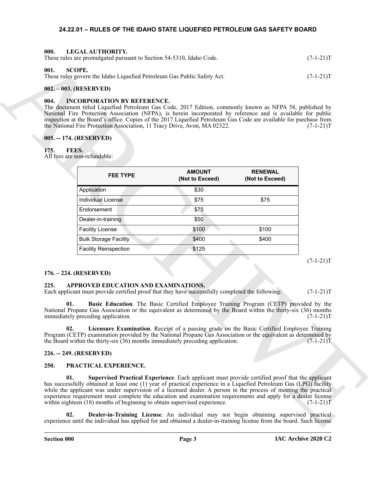#### <span id="page-2-16"></span><span id="page-2-0"></span>**24.22.01 – RULES OF THE IDAHO STATE LIQUEFIED PETROLEUM GAS SAFETY BOARD**

<span id="page-2-20"></span><span id="page-2-2"></span><span id="page-2-1"></span>

| -000.<br>LEGAL AUTHORITY.<br>These rules are promulgated pursuant to Section 54-5310, Idaho Code. | $(7-1-21)T$ |
|---------------------------------------------------------------------------------------------------|-------------|
| 001.<br>SCOPE.<br>These rules govern the Idaho Liquefied Petroleum Gas Public Safety Act.         | $(7-1-21)T$ |

#### <span id="page-2-3"></span>**002. – 003. (RESERVED)**

#### <span id="page-2-15"></span><span id="page-2-4"></span>**004. INCORPORATION BY REFERENCE.**

#### <span id="page-2-5"></span>**005. -- 174. (RESERVED)**

#### <span id="page-2-14"></span><span id="page-2-6"></span>**175. FEES.**

|             | These rules are promulgated pursuant to Section 54-5310, Idaho Code.                                                                                                                                                                                                                                                                                                                                                                                            |                                                                                                 |                                   | $(7-1-21)T$                |  |
|-------------|-----------------------------------------------------------------------------------------------------------------------------------------------------------------------------------------------------------------------------------------------------------------------------------------------------------------------------------------------------------------------------------------------------------------------------------------------------------------|-------------------------------------------------------------------------------------------------|-----------------------------------|----------------------------|--|
| 001.        | <b>SCOPE.</b><br>These rules govern the Idaho Liquefied Petroleum Gas Public Safety Act.                                                                                                                                                                                                                                                                                                                                                                        |                                                                                                 |                                   | $(7-1-21)T$                |  |
|             | 002. - 003. (RESERVED)                                                                                                                                                                                                                                                                                                                                                                                                                                          |                                                                                                 |                                   |                            |  |
| 004.        | <b>INCORPORATION BY REFERENCE.</b><br>The document titled Liquefied Petroleum Gas Code, 2017 Edition, commonly known as NFPA 58, published by<br>National Fire Protection Association (NFPA), is herein incorporated by reference and is available for public<br>inspection at the Board's office. Copies of the 2017 Liquefied Petroleum Gas Code are available for purchase from<br>the National Fire Protection Association, 11 Tracy Drive, Avon, MA 02322. |                                                                                                 |                                   | $(7-1-21)T$                |  |
|             | 005. -- 174. (RESERVED)                                                                                                                                                                                                                                                                                                                                                                                                                                         |                                                                                                 |                                   |                            |  |
| 175.        | FEES.                                                                                                                                                                                                                                                                                                                                                                                                                                                           |                                                                                                 |                                   |                            |  |
|             | All fees are non-refundable:                                                                                                                                                                                                                                                                                                                                                                                                                                    |                                                                                                 |                                   |                            |  |
|             | <b>FEE TYPE</b>                                                                                                                                                                                                                                                                                                                                                                                                                                                 | <b>AMOUNT</b><br>(Not to Exceed)                                                                | <b>RENEWAL</b><br>(Not to Exceed) |                            |  |
|             | Application                                                                                                                                                                                                                                                                                                                                                                                                                                                     | \$30                                                                                            |                                   |                            |  |
|             | <b>Individual License</b>                                                                                                                                                                                                                                                                                                                                                                                                                                       | \$75                                                                                            | \$75                              |                            |  |
|             | Endorsement                                                                                                                                                                                                                                                                                                                                                                                                                                                     | \$75                                                                                            |                                   |                            |  |
|             | Dealer-in-training                                                                                                                                                                                                                                                                                                                                                                                                                                              | \$50                                                                                            |                                   |                            |  |
|             | <b>Facility License</b>                                                                                                                                                                                                                                                                                                                                                                                                                                         | \$100                                                                                           | \$100                             |                            |  |
|             | <b>Bulk Storage Facility</b>                                                                                                                                                                                                                                                                                                                                                                                                                                    | \$400                                                                                           | \$400                             |                            |  |
|             | <b>Facility Reinspection</b>                                                                                                                                                                                                                                                                                                                                                                                                                                    | \$125                                                                                           |                                   |                            |  |
| 225.<br>01. | 176. – 224. (RESERVED)<br>APPROVED EDUCATION AND EXAMINATIONS.<br>Each applicant must provide certified proof that they have successfully completed the following:                                                                                                                                                                                                                                                                                              | Basic Education. The Basic Certified Employee Training Program (CETP) provided by the           |                                   | $(7-1-21)T$<br>$(7-1-21)T$ |  |
|             | National Propane Gas Association or the equivalent as determined by the Board within the thirty-six (36) months<br>immediately preceding application.                                                                                                                                                                                                                                                                                                           |                                                                                                 |                                   | $(7-1-21)T$                |  |
| 02.         | Program (CETP) examination provided by the National Propane Gas Association or the equivalent as determined by<br>the Board within the thirty-six $(36)$ months immediately preceding application.                                                                                                                                                                                                                                                              | Licensure Examination. Receipt of a passing grade on the Basic Certified Employee Training      |                                   | $(7-1-21)T$                |  |
|             | 226. -- 249. (RESERVED)                                                                                                                                                                                                                                                                                                                                                                                                                                         |                                                                                                 |                                   |                            |  |
| 250.        | PRACTICAL EXPERIENCE.                                                                                                                                                                                                                                                                                                                                                                                                                                           |                                                                                                 |                                   |                            |  |
| 01.         | has successfully obtained at least one (1) year of practical experience in a Liquefied Petroleum Gas (LPG) facility<br>while the applicant was under supervision of a licensed dealer. A person in the process of meeting the practical<br>experience requirement must complete the education and examination requirements and apply for a dealer license<br>within eighteen (18) months of beginning to obtain supervised experience.                          | Supervised Practical Experience. Each applicant must provide certified proof that the applicant |                                   | $(7-1-21)T$                |  |
| 02.         | experience until the individual has applied for and obtained a dealer-in-training license from the board. Such license                                                                                                                                                                                                                                                                                                                                          | Dealer-in-Training License. An individual may not begin obtaining supervised practical          |                                   |                            |  |

#### <span id="page-2-7"></span>**176. – 224. (RESERVED)**

#### <span id="page-2-12"></span><span id="page-2-11"></span><span id="page-2-8"></span>**225. APPROVED EDUCATION AND EXAMINATIONS.**

#### <span id="page-2-13"></span><span id="page-2-9"></span>**226. -- 249. (RESERVED)**

#### <span id="page-2-19"></span><span id="page-2-18"></span><span id="page-2-17"></span><span id="page-2-10"></span>**250. PRACTICAL EXPERIENCE.**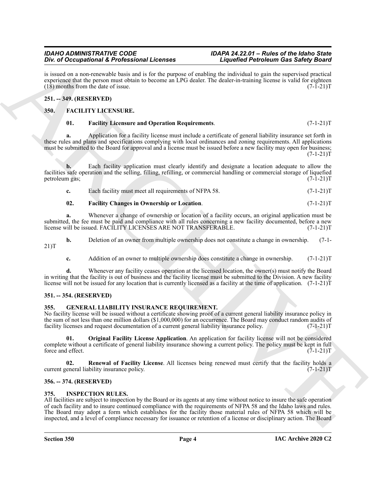#### *IDAHO ADMINISTRATIVE CODE IDAPA 24.22.01 – Rules of the Idaho State Div. of Occupational & Professional Licenses*

is issued on a non-renewable basis and is for the purpose of enabling the individual to gain the supervised practical experience that the person must obtain to become an LPG dealer. The dealer-in-training license is valid for eighteen (18) months from the date of issue.  $(18)$  months from the date of issue.

#### <span id="page-3-0"></span>**251. -- 349. (RESERVED)**

#### <span id="page-3-1"></span>**350. FACILITY LICENSURE.**

#### <span id="page-3-8"></span><span id="page-3-6"></span>**01. Facility Licensure and Operation Requirements**. (7-1-21)T

**a.** Application for a facility license must include a certificate of general liability insurance set forth in these rules and plans and specifications complying with local ordinances and zoning requirements. All applications must be submitted to the Board for approval and a license must be issued before a new facility may open for business;  $(7-1-21)T$ 

**b.** Each facility application must clearly identify and designate a location adequate to allow the facilities safe operation and the selling, filling, refilling, or commercial handling or commercial storage of liquefied<br>petroleum gas;<br>(7-1-21)T petroleum gas;

|  | Each facility must meet all requirements of NFPA 58. | $(7-1-21)T$ |
|--|------------------------------------------------------|-------------|
|--|------------------------------------------------------|-------------|

#### <span id="page-3-7"></span>**02. Facility Changes in Ownership or Location**. (7-1-21)T

**a.** Whenever a change of ownership or location of a facility occurs, an original application must be submitted, the fee must be paid and compliance with all rules concerning a new facility documented, before a new<br>license will be issued. FACILITY LICENSES ARE NOT TRANSFERABLE. (7-1-21)T license will be issued. FACILITY LICENSES ARE NOT TRANSFERABLE.

**b.** Deletion of an owner from multiple ownership does not constitute a change in ownership. (7-1-21)T

**c.** Addition of an owner to multiple ownership does constitute a change in ownership. (7-1-21)T

**d.** Whenever any facility ceases operation at the licensed location, the owner(s) must notify the Board in writing that the facility is out of business and the facility license must be submitted to the Division. A new facility license will not be issued for any location that is currently licensed as a facility at the time of application.  $(7-1-21)\mathbf{\hat{T}}$ 

#### <span id="page-3-2"></span>**351. -- 354. (RESERVED)**

#### <span id="page-3-9"></span><span id="page-3-3"></span>**355. GENERAL LIABILITY INSURANCE REQUIREMENT.**

No facility license will be issued without a certificate showing proof of a current general liability insurance policy in the sum of not less than one million dollars (\$1,000,000) for an occurrence. The Board may conduct random audits of facility licenses and request documentation of a current general liability insurance policy. (7-1-21)T

<span id="page-3-10"></span>**01. Original Facility License Application**. An application for facility license will not be considered complete without a certificate of general liability insurance showing a current policy. The policy must be kept in full force and effect.  $(7-1-21)T$ force and effect.

<span id="page-3-11"></span>**Renewal of Facility License**. All licenses being renewed must certify that the facility holds a bility insurance policy. (7-1-21) current general liability insurance policy.

#### <span id="page-3-4"></span>**356. -- 374. (RESERVED)**

#### <span id="page-3-12"></span><span id="page-3-5"></span>**375. INSPECTION RULES.**

Box of Decembetive Societies and Lies the proposed contribution of the species of the species and the species of the species of the species of the species of the species of the species of the species of the species of the All facilities are subject to inspection by the Board or its agents at any time without notice to insure the safe operation of each facility and to insure continued compliance with the requirements of NFPA 58 and the Idaho laws and rules. The Board may adopt a form which establishes for the facility those material rules of NFPA 58 which will be inspected, and a level of compliance necessary for issuance or retention of a license or disciplinary action. The Board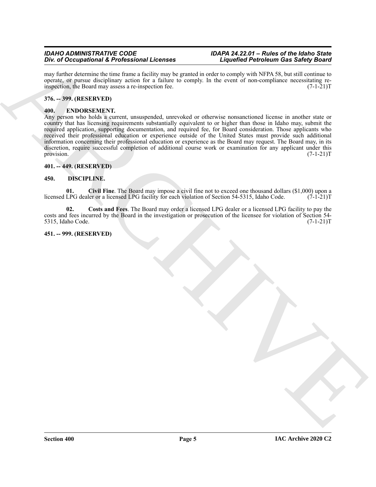#### *IDAHO ADMINISTRATIVE CODE IDAPA 24.22.01 – Rules of the Idaho State Div. of Occupational & Professional Licenses*

may further determine the time frame a facility may be granted in order to comply with NFPA 58, but still continue to operate, or pursue disciplinary action for a failure to comply. In the event of non-compliance necessitating re-<br>inspection, the Board may assess a re-inspection fee.  $(7-1-21)T$ inspection, the Board may assess a re-inspection fee.

#### <span id="page-4-0"></span>**376. -- 399. (RESERVED)**

#### <span id="page-4-8"></span><span id="page-4-1"></span>**400. ENDORSEMENT.**

ARCHIVE Any person who holds a current, unsuspended, unrevoked or otherwise nonsanctioned license in another state or country that has licensing requirements substantially equivalent to or higher than those in Idaho may, submit the required application, supporting documentation, and required fee, for Board consideration. Those applicants who received their professional education or experience outside of the United States must provide such additional information concerning their professional education or experience as the Board may request. The Board may, in its discretion, require successful completion of additional course work or examination for any applicant under this provision.  $(7-1-21)T$ 

#### <span id="page-4-2"></span>**401. -- 449. (RESERVED)**

#### <span id="page-4-5"></span><span id="page-4-3"></span>**450. DISCIPLINE.**

<span id="page-4-6"></span>**01.** Civil Fine. The Board may impose a civil fine not to exceed one thousand dollars (\$1,000) upon a LPG dealer or a licensed LPG facility for each violation of Section 54-5315, Idaho Code. (7-1-21)T licensed LPG dealer or a licensed LPG facility for each violation of Section 54-5315, Idaho Code.

<span id="page-4-7"></span>**02. Costs and Fees**. The Board may order a licensed LPG dealer or a licensed LPG facility to pay the costs and fees incurred by the Board in the investigation or prosecution of the licensee for violation of Section 54- 5315, Idaho Code. (7-1-21)T

#### <span id="page-4-4"></span>**451. -- 999. (RESERVED)**